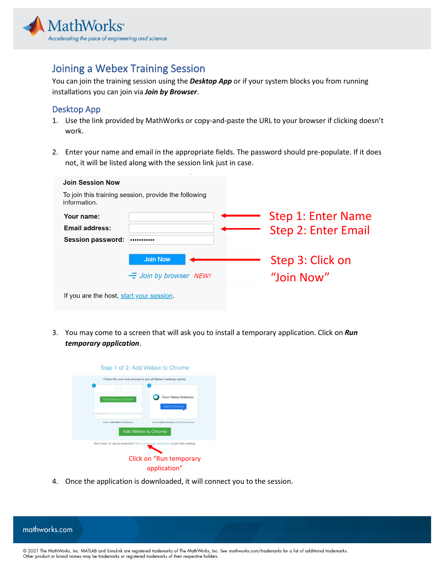

## Joining a Webex Training Session

You can join the training session using the *Desktop App* or if your system blocks you from running installations you can join via *Join by Browser*.

## Desktop App

- 1. Use the link provided by MathWorks or copy-and-paste the URL to your browser if clicking doesn't work.
- 2. Enter your name and email in the appropriate fields. The password should pre-populate. If it does not, it will be listed along with the session link just in case.

| <b>Join Session Now</b>                                              |                               |  |                     |
|----------------------------------------------------------------------|-------------------------------|--|---------------------|
| To join this training session, provide the following<br>information. |                               |  |                     |
| Your name:                                                           |                               |  | Step 1: Enter Name  |
| <b>Email address:</b>                                                |                               |  | Step 2: Enter Email |
| <b>Session password:</b>                                             |                               |  |                     |
|                                                                      | <b>Join Now</b>               |  | Step 3: Click on    |
|                                                                      | $\equiv$ Join by browser NEW! |  | "Join Now"          |
| If you are the host, start your session.                             |                               |  |                     |

3. You may come to a screen that will ask you to install a temporary application. Click on *Run temporary application*.



4. Once the application is downloaded, it will connect you to the session.